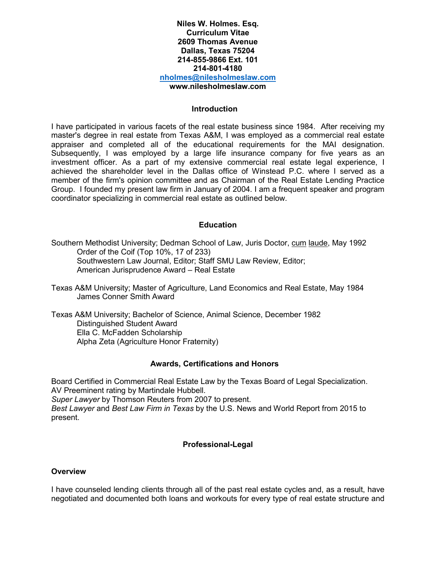## **Niles W. Holmes. Esq. Curriculum Vitae 2609 Thomas Avenue Dallas, Texas 75204 214-855-9866 Ext. 101 214-801-4180 [nholmes@nilesholmeslaw.com](mailto:nholmes@nilesholmeslaw.com) www.nilesholmeslaw.com**

#### **Introduction**

I have participated in various facets of the real estate business since 1984. After receiving my master's degree in real estate from Texas A&M, I was employed as a commercial real estate appraiser and completed all of the educational requirements for the MAI designation. Subsequently, I was employed by a large life insurance company for five years as an investment officer. As a part of my extensive commercial real estate legal experience, I achieved the shareholder level in the Dallas office of Winstead P.C. where I served as a member of the firm's opinion committee and as Chairman of the Real Estate Lending Practice Group. I founded my present law firm in January of 2004. I am a frequent speaker and program coordinator specializing in commercial real estate as outlined below.

## **Education**

Southern Methodist University; Dedman School of Law, Juris Doctor, cum laude, May 1992 Order of the Coif (Top 10%, 17 of 233) Southwestern Law Journal, Editor; Staff SMU Law Review, Editor; American Jurisprudence Award – Real Estate

Texas A&M University; Master of Agriculture, Land Economics and Real Estate, May 1984 James Conner Smith Award

Texas A&M University; Bachelor of Science, Animal Science, December 1982 Distinguished Student Award Ella C. McFadden Scholarship Alpha Zeta (Agriculture Honor Fraternity)

## **Awards, Certifications and Honors**

Board Certified in Commercial Real Estate Law by the Texas Board of Legal Specialization. AV Preeminent rating by Martindale Hubbell.

*Super Lawyer* by Thomson Reuters from 2007 to present.

*Best Lawyer* and *Best Law Firm in Texas* by the U.S. News and World Report from 2015 to present.

## **Professional-Legal**

## **Overview**

I have counseled lending clients through all of the past real estate cycles and, as a result, have negotiated and documented both loans and workouts for every type of real estate structure and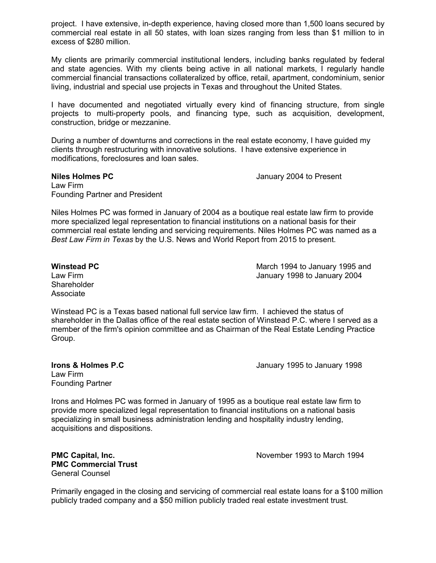project. I have extensive, in-depth experience, having closed more than 1,500 loans secured by commercial real estate in all 50 states, with loan sizes ranging from less than \$1 million to in excess of \$280 million.

My clients are primarily commercial institutional lenders, including banks regulated by federal and state agencies. With my clients being active in all national markets, I regularly handle commercial financial transactions collateralized by office, retail, apartment, condominium, senior living, industrial and special use projects in Texas and throughout the United States.

I have documented and negotiated virtually every kind of financing structure, from single projects to multi-property pools, and financing type, such as acquisition, development, construction, bridge or mezzanine.

During a number of downturns and corrections in the real estate economy, I have guided my clients through restructuring with innovative solutions. I have extensive experience in modifications, foreclosures and loan sales.

## **Niles Holmes PC** January 2004 to Present Law Firm Founding Partner and President

Niles Holmes PC was formed in January of 2004 as a boutique real estate law firm to provide more specialized legal representation to financial institutions on a national basis for their commercial real estate lending and servicing requirements. Niles Holmes PC was named as a *Best Law Firm in Texas* by the U.S. News and World Report from 2015 to present.

**Shareholder** Associate

**Winstead PC** March 1994 to January 1995 and Law Firm January 1998 to January 2004

Winstead PC is a Texas based national full service law firm. I achieved the status of shareholder in the Dallas office of the real estate section of Winstead P.C. where I served as a member of the firm's opinion committee and as Chairman of the Real Estate Lending Practice Group.

Law Firm Founding Partner

**Irons & Holmes P.C I.e. 2008 January 1995 to January 1998** 

Irons and Holmes PC was formed in January of 1995 as a boutique real estate law firm to provide more specialized legal representation to financial institutions on a national basis specializing in small business administration lending and hospitality industry lending, acquisitions and dispositions.

**PMC Commercial Trust**  General Counsel

**PMC Capital, Inc.** November 1993 to March 1994

Primarily engaged in the closing and servicing of commercial real estate loans for a \$100 million publicly traded company and a \$50 million publicly traded real estate investment trust.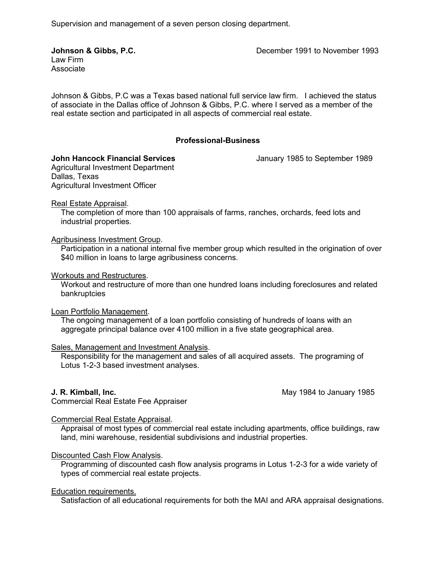Supervision and management of a seven person closing department.

Law Firm Associate

**Johnson & Gibbs, P.C. December 1991 to November 1993** 

Johnson & Gibbs, P.C was a Texas based national full service law firm. I achieved the status of associate in the Dallas office of Johnson & Gibbs, P.C. where I served as a member of the real estate section and participated in all aspects of commercial real estate.

## **Professional-Business**

## **John Hancock Financial Services** January 1985 to September 1989

Agricultural Investment Department Dallas, Texas Agricultural Investment Officer

## Real Estate Appraisal.

The completion of more than 100 appraisals of farms, ranches, orchards, feed lots and industrial properties.

## Agribusiness Investment Group.

Participation in a national internal five member group which resulted in the origination of over \$40 million in loans to large agribusiness concerns.

## Workouts and Restructures.

Workout and restructure of more than one hundred loans including foreclosures and related bankruptcies

## Loan Portfolio Management.

The ongoing management of a loan portfolio consisting of hundreds of loans with an aggregate principal balance over 4100 million in a five state geographical area.

## Sales, Management and Investment Analysis.

Responsibility for the management and sales of all acquired assets. The programing of Lotus 1-2-3 based investment analyses.

**J. R. Kimball, Inc.** The same of the same of the same of the May 1984 to January 1985

Commercial Real Estate Fee Appraiser

# Commercial Real Estate Appraisal.

Appraisal of most types of commercial real estate including apartments, office buildings, raw land, mini warehouse, residential subdivisions and industrial properties.

# Discounted Cash Flow Analysis.

Programming of discounted cash flow analysis programs in Lotus 1-2-3 for a wide variety of types of commercial real estate projects.

## Education requirements.

Satisfaction of all educational requirements for both the MAI and ARA appraisal designations.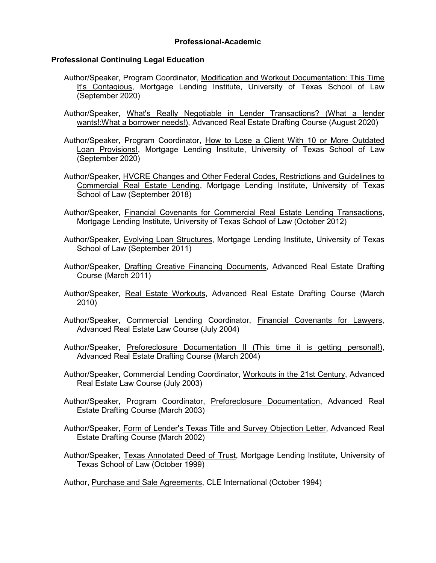# **Professional-Academic**

## **Professional Continuing Legal Education**

- Author/Speaker, Program Coordinator, Modification and Workout Documentation: This Time It's Contagious, Mortgage Lending Institute, University of Texas School of Law (September 2020)
- Author/Speaker, What's Really Negotiable in Lender Transactions? (What a lender wants!:What a borrower needs!), Advanced Real Estate Drafting Course (August 2020)
- Author/Speaker, Program Coordinator, How to Lose a Client With 10 or More Outdated Loan Provisions!, Mortgage Lending Institute, University of Texas School of Law (September 2020)
- Author/Speaker, HVCRE Changes and Other Federal Codes, Restrictions and Guidelines to Commercial Real Estate Lending, Mortgage Lending Institute, University of Texas School of Law (September 2018)
- Author/Speaker, Financial Covenants for Commercial Real Estate Lending Transactions, Mortgage Lending Institute, University of Texas School of Law (October 2012)
- Author/Speaker, Evolving Loan Structures, Mortgage Lending Institute, University of Texas School of Law (September 2011)
- Author/Speaker, Drafting Creative Financing Documents, Advanced Real Estate Drafting Course (March 2011)
- Author/Speaker, Real Estate Workouts, Advanced Real Estate Drafting Course (March 2010)
- Author/Speaker, Commercial Lending Coordinator, Financial Covenants for Lawyers, Advanced Real Estate Law Course (July 2004)
- Author/Speaker, Preforeclosure Documentation II (This time it is getting personal!), Advanced Real Estate Drafting Course (March 2004)
- Author/Speaker, Commercial Lending Coordinator, Workouts in the 21st Century, Advanced Real Estate Law Course (July 2003)
- Author/Speaker, Program Coordinator, Preforeclosure Documentation, Advanced Real Estate Drafting Course (March 2003)
- Author/Speaker, Form of Lender's Texas Title and Survey Objection Letter, Advanced Real Estate Drafting Course (March 2002)
- Author/Speaker, Texas Annotated Deed of Trust, Mortgage Lending Institute, University of Texas School of Law (October 1999)
- Author, Purchase and Sale Agreements, CLE International (October 1994)